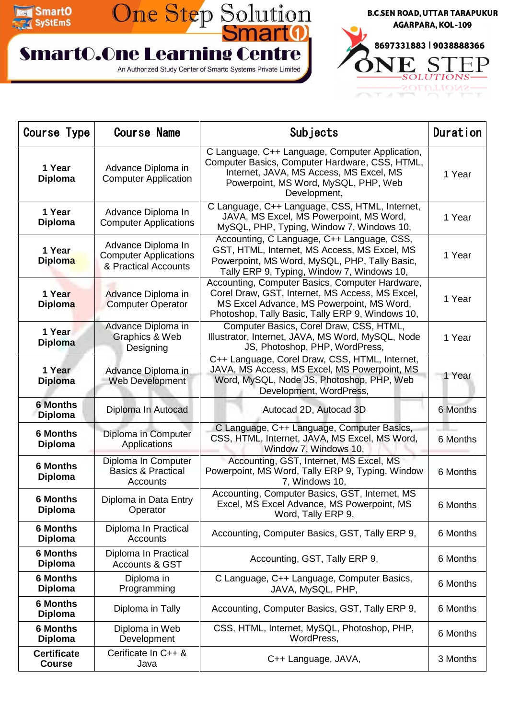

## One Step Solution **SmartO.One Learning Centre**

An Authorized Study Center of Smarto Systems Private Limited



| Course Type                         | <b>Course Name</b>                                                         | Subjects                                                                                                                                                                                             | Duration |
|-------------------------------------|----------------------------------------------------------------------------|------------------------------------------------------------------------------------------------------------------------------------------------------------------------------------------------------|----------|
| 1 Year<br><b>Diploma</b>            | Advance Diploma in<br><b>Computer Application</b>                          | C Language, C++ Language, Computer Application,<br>Computer Basics, Computer Hardware, CSS, HTML,<br>Internet, JAVA, MS Access, MS Excel, MS<br>Powerpoint, MS Word, MySQL, PHP, Web<br>Development, | 1 Year   |
| 1 Year<br><b>Diploma</b>            | Advance Diploma In<br><b>Computer Applications</b>                         | C Language, C++ Language, CSS, HTML, Internet,<br>JAVA, MS Excel, MS Powerpoint, MS Word,<br>MySQL, PHP, Typing, Window 7, Windows 10,                                                               | 1 Year   |
| 1 Year<br><b>Diploma</b>            | Advance Diploma In<br><b>Computer Applications</b><br>& Practical Accounts | Accounting, C Language, C++ Language, CSS,<br>GST, HTML, Internet, MS Access, MS Excel, MS<br>Powerpoint, MS Word, MySQL, PHP, Tally Basic,<br>Tally ERP 9, Typing, Window 7, Windows 10,            | 1 Year   |
| 1 Year<br><b>Diploma</b>            | Advance Diploma in<br><b>Computer Operator</b>                             | Accounting, Computer Basics, Computer Hardware,<br>Corel Draw, GST, Internet, MS Access, MS Excel,<br>MS Excel Advance, MS Powerpoint, MS Word,<br>Photoshop, Tally Basic, Tally ERP 9, Windows 10,  | 1 Year   |
| 1 Year<br><b>Diploma</b>            | Advance Diploma in<br>Graphics & Web<br>Designing                          | Computer Basics, Corel Draw, CSS, HTML,<br>Illustrator, Internet, JAVA, MS Word, MySQL, Node<br>JS, Photoshop, PHP, WordPress,                                                                       | 1 Year   |
| 1 Year<br><b>Diploma</b>            | Advance Diploma in<br><b>Web Development</b>                               | C++ Language, Corel Draw, CSS, HTML, Internet,<br>JAVA, MS Access, MS Excel, MS Powerpoint, MS<br>Word, MySQL, Node JS, Photoshop, PHP, Web<br>Development, WordPress,                               | 1 Year   |
| <b>6 Months</b><br><b>Diploma</b>   | Diploma In Autocad                                                         | Autocad 2D, Autocad 3D                                                                                                                                                                               | 6 Months |
| <b>6 Months</b><br><b>Diploma</b>   | Diploma in Computer<br>Applications                                        | C Language, C++ Language, Computer Basics,<br>CSS, HTML, Internet, JAVA, MS Excel, MS Word,<br>Window 7, Windows 10,                                                                                 | 6 Months |
| <b>6 Months</b><br><b>Diploma</b>   | Diploma In Computer<br><b>Basics &amp; Practical</b><br>Accounts           | Accounting, GST, Internet, MS Excel, MS<br>Powerpoint, MS Word, Tally ERP 9, Typing, Window<br>7, Windows 10,                                                                                        | 6 Months |
| <b>6 Months</b><br><b>Diploma</b>   | Diploma in Data Entry<br>Operator                                          | Accounting, Computer Basics, GST, Internet, MS<br>Excel, MS Excel Advance, MS Powerpoint, MS<br>Word, Tally ERP 9,                                                                                   | 6 Months |
| <b>6 Months</b><br><b>Diploma</b>   | Diploma In Practical<br><b>Accounts</b>                                    | Accounting, Computer Basics, GST, Tally ERP 9,                                                                                                                                                       | 6 Months |
| <b>6 Months</b><br><b>Diploma</b>   | Diploma In Practical<br><b>Accounts &amp; GST</b>                          | Accounting, GST, Tally ERP 9,                                                                                                                                                                        | 6 Months |
| <b>6 Months</b><br><b>Diploma</b>   | Diploma in<br>Programming                                                  | C Language, C++ Language, Computer Basics,<br>JAVA, MySQL, PHP,                                                                                                                                      | 6 Months |
| <b>6 Months</b><br><b>Diploma</b>   | Diploma in Tally                                                           | Accounting, Computer Basics, GST, Tally ERP 9,                                                                                                                                                       | 6 Months |
| <b>6 Months</b><br><b>Diploma</b>   | Diploma in Web<br>Development                                              | CSS, HTML, Internet, MySQL, Photoshop, PHP,<br>WordPress,                                                                                                                                            | 6 Months |
| <b>Certificate</b><br><b>Course</b> | Cerificate In C++ &<br>Java                                                | C++ Language, JAVA,                                                                                                                                                                                  | 3 Months |